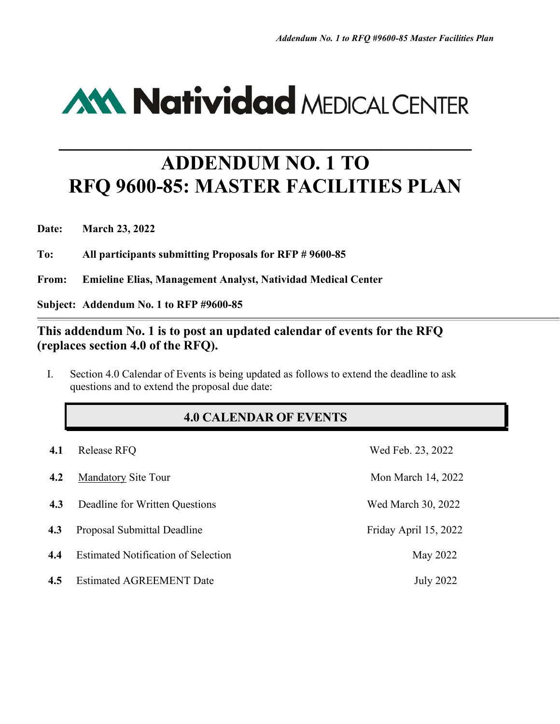

## **ADDENDUM NO. 1 TO RFQ 9600-85: MASTER FACILITIES PLAN**

**\_\_\_\_\_\_\_\_\_\_\_\_\_\_\_\_\_\_\_\_\_\_\_\_\_\_\_\_\_\_\_\_\_\_\_\_\_\_\_\_\_**

**Date: March 23, 2022**

**To: All participants submitting Proposals for RFP # 9600-85**

**From: Emieline Elias, Management Analyst, Natividad Medical Center**

**Subject: Addendum No. 1 to RFP #9600-85**

## **This addendum No. 1 is to post an updated calendar of events for the RFQ (replaces section 4.0 of the RFQ).**

I. Section 4.0 Calendar of Events is being updated as follows to extend the deadline to ask questions and to extend the proposal due date:

## **4.0 CALENDAR OF EVENTS**

| 4.1 | Release RFQ                                | Wed Feb. 23, 2022     |
|-----|--------------------------------------------|-----------------------|
| 4.2 | <b>Mandatory Site Tour</b>                 | Mon March 14, 2022    |
| 4.3 | Deadline for Written Questions             | Wed March 30, 2022    |
| 4.3 | Proposal Submittal Deadline                | Friday April 15, 2022 |
| 4.4 | <b>Estimated Notification of Selection</b> | May 2022              |
| 4.5 | <b>Estimated AGREEMENT Date</b>            | <b>July 2022</b>      |